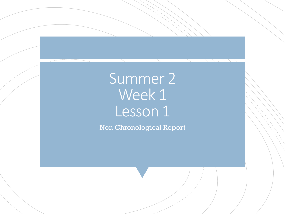# Summer 2 Week 1 Lesson 1

Non Chronological Report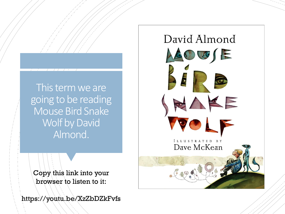This term we are going to be reading Mouse Bird Snake Wolf by David Almond.

Copy this link into your browser to listen to it:

https://youtu.be/XzZbDZkFvfs

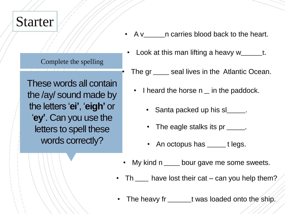### **Starter**

Complete the spelling

These words all contain the /ay/ sound made by the letters '**ei'**, '**eigh'** or '**ey'**. Can you use the letters to spell these words correctly?

- A v\_\_\_\_\_\_n carries blood back to the heart.
	- Look at this man lifting a heavy w\_\_\_\_\_\_\_t.
	- The gr \_\_\_\_\_\_ seal lives in the Atlantic Ocean.
		- I heard the horse n \_ in the paddock.
			- Santa packed up his sl\_\_\_\_\_.
			- The eagle stalks its pr \_\_\_\_\_\_.
			- An octopus has \_\_\_\_\_\_ t legs.
- My kind n \_\_\_\_\_ bour gave me some sweets.
- Th  $\mu$  have lost their cat can you help them?
- The heavy fr \_\_\_\_\_\_\_\_\_t was loaded onto the ship.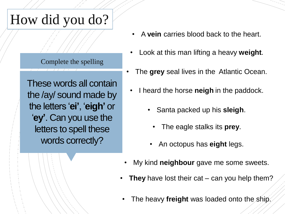# How did you do?

#### Complete the spelling

These words all contain the /ay/ sound made by the letters '**ei'**, '**eigh'** or '**ey'**. Can you use the letters to spell these words correctly?

- A **vein** carries blood back to the heart.
- Look at this man lifting a heavy **weight**.
- The **grey** seal lives in the Atlantic Ocean.
- I heard the horse **neigh** in the paddock.
	- Santa packed up his **sleigh**.
		- The eagle stalks its **prey**.
	- An octopus has **eight** legs.
- My kind **neighbour** gave me some sweets.
- **They** have lost their cat can you help them?
- The heavy **freight** was loaded onto the ship.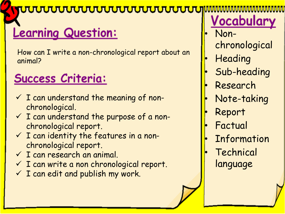#### <del>ჀჀჀჀჀჀჀჀჀჀჀჀჀჀჀჀჀ</del>

## **Learning Question:**

How can I write a non-chronological report about an animal?

### Success Criteria:

- $\checkmark$  I can understand the meaning of nonchronological.
- $\checkmark$  I can understand the purpose of a nonchronological report.
- $\checkmark$  I can identity the features in a nonchronological report.
- $\checkmark$  I can research an animal.
- $\checkmark$  I can write a non chronological report.
- $\checkmark$  I can edit and publish my work.

Vocabulary

- Nonchronological
- Heading
- Sub-heading
- Research
- Note-taking
- Report
- **Factual**
- **Information**
- **Technical** language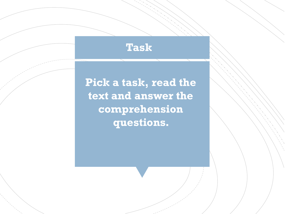### **Task**

**Pick a task, read the text and answer the comprehension questions.**